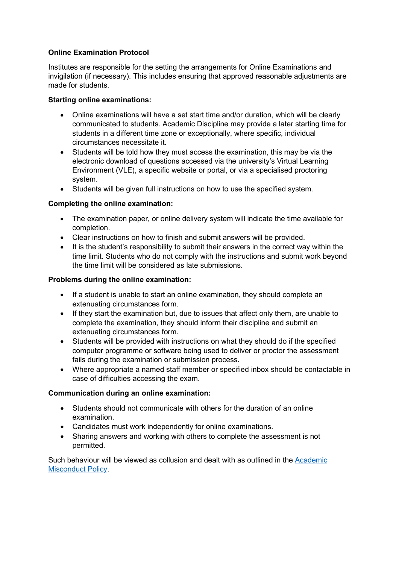# **Online Examination Protocol**

Institutes are responsible for the setting the arrangements for Online Examinations and invigilation (if necessary). This includes ensuring that approved reasonable adjustments are made for students.

## **Starting online examinations:**

- Online examinations will have a set start time and/or duration, which will be clearly communicated to students. Academic Discipline may provide a later starting time for students in a different time zone or exceptionally, where specific, individual circumstances necessitate it.
- Students will be told how they must access the examination, this may be via the electronic download of questions accessed via the university's Virtual Learning Environment (VLE), a specific website or portal, or via a specialised proctoring system.
- Students will be given full instructions on how to use the specified system.

# **Completing the online examination:**

- The examination paper, or online delivery system will indicate the time available for completion.
- Clear instructions on how to finish and submit answers will be provided.
- It is the student's responsibility to submit their answers in the correct way within the time limit. Students who do not comply with the instructions and submit work beyond the time limit will be considered as late submissions.

## **Problems during the online examination:**

- If a student is unable to start an online examination, they should complete an extenuating circumstances form.
- If they start the examination but, due to issues that affect only them, are unable to complete the examination, they should inform their discipline and submit an extenuating circumstances form.
- Students will be provided with instructions on what they should do if the specified computer programme or software being used to deliver or proctor the assessment fails during the examination or submission process.
- Where appropriate a named staff member or specified inbox should be contactable in case of difficulties accessing the exam.

# **Communication during an online examination:**

- Students should not communicate with others for the duration of an online examination.
- Candidates must work independently for online examinations.
- Sharing answers and working with others to complete the assessment is not permitted.

Such behaviour will be viewed as collusion and dealt with as outlined in the [Academic](https://www.uwtsd.ac.uk/media/uwtsd-website/content-assets/documents/academic-office/misc-forms/Academic_Misconduct_Policy_2021-22.pdf)  [Misconduct Policy.](https://www.uwtsd.ac.uk/media/uwtsd-website/content-assets/documents/academic-office/misc-forms/Academic_Misconduct_Policy_2021-22.pdf)